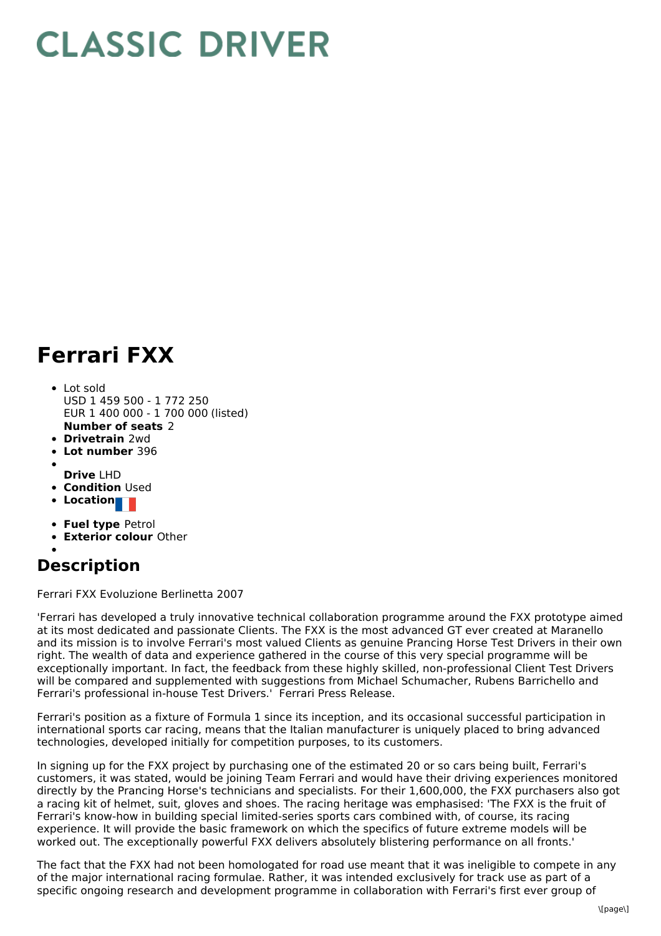## **CLASSIC DRIVER**

## **Ferrari FXX**

- **Number of seats** 2 Lot sold USD 1 459 500 - 1 772 250 EUR 1 400 000 - 1 700 000 (listed)
- **Drivetrain** 2wd
- **Lot number** 396  $\bullet$
- **Drive** LHD
- **Condition Used**
- **Location**
- 
- **Fuel type** Petrol
- **Exterior colour** Other

## **Description**

Ferrari FXX Evoluzione Berlinetta 2007

'Ferrari has developed a truly innovative technical collaboration programme around the FXX prototype aimed at its most dedicated and passionate Clients. The FXX is the most advanced GT ever created at Maranello and its mission is to involve Ferrari's most valued Clients as genuine Prancing Horse Test Drivers in their own right. The wealth of data and experience gathered in the course of this very special programme will be exceptionally important. In fact, the feedback from these highly skilled, non-professional Client Test Drivers will be compared and supplemented with suggestions from Michael Schumacher, Rubens Barrichello and Ferrari's professional in-house Test Drivers.' Ferrari Press Release.

Ferrari's position as a fixture of Formula 1 since its inception, and its occasional successful participation in international sports car racing, means that the Italian manufacturer is uniquely placed to bring advanced technologies, developed initially for competition purposes, to its customers.

In signing up for the FXX project by purchasing one of the estimated 20 or so cars being built, Ferrari's customers, it was stated, would be joining Team Ferrari and would have their driving experiences monitored directly by the Prancing Horse's technicians and specialists. For their 1,600,000, the FXX purchasers also got a racing kit of helmet, suit, gloves and shoes. The racing heritage was emphasised: 'The FXX is the fruit of Ferrari's know-how in building special limited-series sports cars combined with, of course, its racing experience. It will provide the basic framework on which the specifics of future extreme models will be worked out. The exceptionally powerful FXX delivers absolutely blistering performance on all fronts.'

The fact that the FXX had not been homologated for road use meant that it was ineligible to compete in any of the major international racing formulae. Rather, it was intended exclusively for track use as part of a specific ongoing research and development programme in collaboration with Ferrari's first ever group of